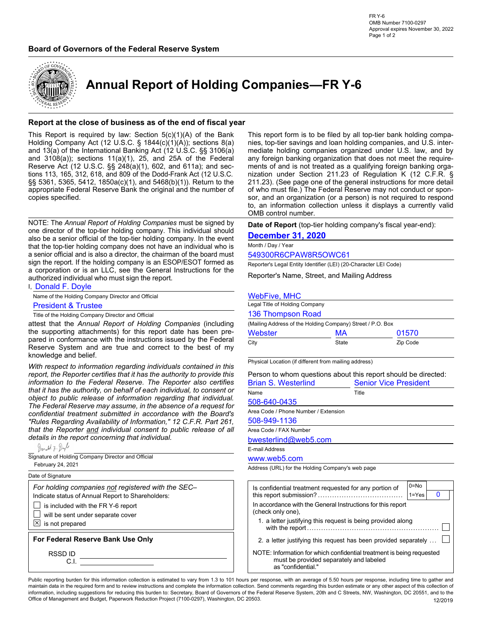### **Board of Governors of the Federal Reserve System**



# **Annual Report of Holding Companies—FR Y-6**

### **Report at the close of business as of the end of fiscal year**

This Report is required by law: Section  $5(c)(1)(A)$  of the Bank Holding Company Act (12 U.S.C. § 1844(c)(1)(A)); sections 8(a) and 13(a) of the International Banking Act (12 U.S.C. §§ 3106(a) and 3108(a)); sections 11(a)(1), 25, and 25A of the Federal Reserve Act (12 U.S.C. §§ 248(a)(1), 602, and 611a); and sections 113, 165, 312, 618, and 809 of the Dodd-Frank Act (12 U.S.C. §§ 5361, 5365, 5412, 1850a(c)(1), and 5468(b)(1)). Return to the appropriate Federal Reserve Bank the original and the number of copies specified.

NOTE: The *Annual Report of Holding Companies* must be signed by one director of the top-tier holding company. This individual should also be a senior official of the top-tier holding company. In the event that the top-tier holding company does not have an individual who is a senior official and is also a director, the chairman of the board must sign the report. If the holding company is an ESOP/ESOT formed as a corporation or is an LLC, see the General Instructions for the authorized individual who must sign the report.

I, Donald F. Doyle

Name of the Holding Company Director and Official

**President & Trustee** 

Title of the Holding Company Director and Official

attest that the *Annual Report of Holding Companies* (including the supporting attachments) for this report date has been prepared in conformance with the instructions issued by the Federal Reserve System and are true and correct to the best of my knowledge and belief.

*With respect to information regarding individuals contained in this report, the Reporter certifies that it has the authority to provide this information to the Federal Reserve. The Reporter also certifies that it has the authority, on behalf of each individual, to consent or object to public release of information regarding that individual. The Federal Reserve may assume, in the absence of a request for confidential treatment submitted in accordance with the Board's "Rules Regarding Availability of Information," 12 C.F.R. Part 261, that the Reporter and individual consent to public release of all details in the report concerning that individual.*

Donald F. Dayl Signature of Holding Company Director and Official February 24, 2021Date of Signature *For holding companies not registered with the SEC–*  Indicate status of Annual Report to Shareholders: is included with the FR Y-6 report  $\Box$  will be sent under separate cover  $\boxed{\times}$  is not prepared **For Federal Reserve Bank Use Only** RSSD ID C.I.

This report form is to be filed by all top-tier bank holding companies, top-tier savings and loan holding companies, and U.S. intermediate holding companies organized under U.S. law, and by any foreign banking organization that does not meet the requirements of and is not treated as a qualifying foreign banking organization under Section 211.23 of Regulation K (12 C.F.R. § 211.23). (See page one of the general instructions for more detail of who must file.) The Federal Reserve may not conduct or sponsor, and an organization (or a person) is not required to respond to, an information collection unless it displays a currently valid OMB control number.

**Date of Report** (top-tier holding company's fiscal year-end):

### **December 31, 2020**

#### Month / Day / Year

549300R6CPAW8R5OWC61

Reporter's Legal Entity Identifier (LEI) (20-Character LEI Code)

Reporter's Name, Street, and Mailing Address

#### WebFive, MHC

| Legal Title of Holding Company                             |             |          |  |  |  |  |  |  |
|------------------------------------------------------------|-------------|----------|--|--|--|--|--|--|
| 136 Thompson Road                                          |             |          |  |  |  |  |  |  |
| (Mailing Address of the Holding Company) Street / P.O. Box |             |          |  |  |  |  |  |  |
| Webster                                                    | 01570<br>МA |          |  |  |  |  |  |  |
| City                                                       | State       | Zip Code |  |  |  |  |  |  |

Physical Location (if different from mailing address)

| Person to whom questions about this report should be directed: |                              |  |  |  |  |  |
|----------------------------------------------------------------|------------------------------|--|--|--|--|--|
| <b>Brian S. Westerlind</b>                                     | <b>Senior Vice President</b> |  |  |  |  |  |
| Name                                                           | Title                        |  |  |  |  |  |
| 508-640-0435                                                   |                              |  |  |  |  |  |
| Area Code / Phone Number / Extension                           |                              |  |  |  |  |  |
| 508-949-1136                                                   |                              |  |  |  |  |  |
| Area Code / FAX Number                                         |                              |  |  |  |  |  |
| bwesterlind@web5.com                                           |                              |  |  |  |  |  |
| E-mail Address                                                 |                              |  |  |  |  |  |
| www.web5.com                                                   |                              |  |  |  |  |  |
| $\cdots$ $\cdots$                                              |                              |  |  |  |  |  |

Address (URL) for the Holding Company's web page

| Is confidential treatment requested for any portion of                                                                                 | $0 = No$  |  |
|----------------------------------------------------------------------------------------------------------------------------------------|-----------|--|
|                                                                                                                                        | $1 = Yes$ |  |
| In accordance with the General Instructions for this report<br>(check only one).                                                       |           |  |
| 1. a letter justifying this request is being provided along                                                                            |           |  |
| 2. a letter justifying this request has been provided separately                                                                       |           |  |
| NOTE: Information for which confidential treatment is being requested<br>must be provided separately and labeled<br>as "confidential." |           |  |

Public reporting burden for this information collection is estimated to vary from 1.3 to 101 hours per response, with an average of 5.50 hours per response, including time to gather and maintain data in the required form and to review instructions and complete the information collection. Send comments regarding this burden estimate or any other aspect of this collection of information, including suggestions for reducing this burden to: Secretary, Board of Governors of the Federal Reserve System, 20th and C Streets, NW, Washington, DC 20551, and to the Office of Management and Budget, Paperwork Reduction Project (7100-0297), Washington, DC 20503. 12/2019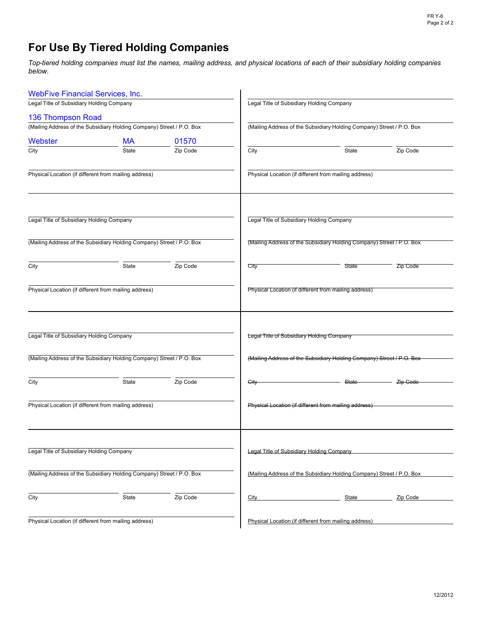# **For Use By Tiered Holding Companies**

Top-tiered holding companies must list the names, mailing address, and physical locations of each of their subsidiary holding companies *below.*

| <b>WebFive Financial Services, Inc.</b>   |                                                                       |          |                                           |                                                                       |          |  |  |  |  |  |
|-------------------------------------------|-----------------------------------------------------------------------|----------|-------------------------------------------|-----------------------------------------------------------------------|----------|--|--|--|--|--|
| Legal Title of Subsidiary Holding Company |                                                                       |          |                                           | Legal Title of Subsidiary Holding Company                             |          |  |  |  |  |  |
| 136 Thompson Road                         |                                                                       |          |                                           |                                                                       |          |  |  |  |  |  |
|                                           | (Mailing Address of the Subsidiary Holding Company) Street / P.O. Box |          |                                           | (Mailing Address of the Subsidiary Holding Company) Street / P.O. Box |          |  |  |  |  |  |
| Webster                                   | <b>MA</b>                                                             | 01570    |                                           |                                                                       |          |  |  |  |  |  |
| City                                      | State                                                                 | Zip Code | City                                      | State                                                                 | Zip Code |  |  |  |  |  |
|                                           | Physical Location (if different from mailing address)                 |          |                                           | Physical Location (if different from mailing address)                 |          |  |  |  |  |  |
| Legal Title of Subsidiary Holding Company |                                                                       |          | Legal Title of Subsidiary Holding Company |                                                                       |          |  |  |  |  |  |
|                                           | (Mailing Address of the Subsidiary Holding Company) Street / P.O. Box |          |                                           | (Mailing Address of the Subsidiary Holding Company) Street / P.O. Box |          |  |  |  |  |  |
| City                                      | State                                                                 | Zip Code | City                                      | State                                                                 | Zip Code |  |  |  |  |  |
|                                           | Physical Location (if different from mailing address)                 |          |                                           | Physical Location (if different from mailing address)                 |          |  |  |  |  |  |
| Legal Title of Subsidiary Holding Company |                                                                       |          | Legal Title of Subsidiary Holding Company |                                                                       |          |  |  |  |  |  |
|                                           | (Mailing Address of the Subsidiary Holding Company) Street / P.O. Box |          |                                           | (Mailing Address of the Subsidiary Holding Company) Street / P.O. Box |          |  |  |  |  |  |
| City                                      | State                                                                 | Zip Code | <b>City</b>                               | State                                                                 | Zip Code |  |  |  |  |  |
|                                           | Physical Location (if different from mailing address)                 |          |                                           | Physical Location (if different from mailing address)                 |          |  |  |  |  |  |
| Legal Title of Subsidiary Holding Company |                                                                       |          | Legal Title of Subsidiary Holding Company |                                                                       |          |  |  |  |  |  |
|                                           | (Mailing Address of the Subsidiary Holding Company) Street / P.O. Box |          |                                           | (Mailing Address of the Subsidiary Holding Company) Street / P.O. Box |          |  |  |  |  |  |
| City                                      | State                                                                 | Zip Code | City                                      | <b>State</b>                                                          | Zip Code |  |  |  |  |  |
|                                           | Physical Location (if different from mailing address)                 |          |                                           | Physical Location (if different from mailing address)                 |          |  |  |  |  |  |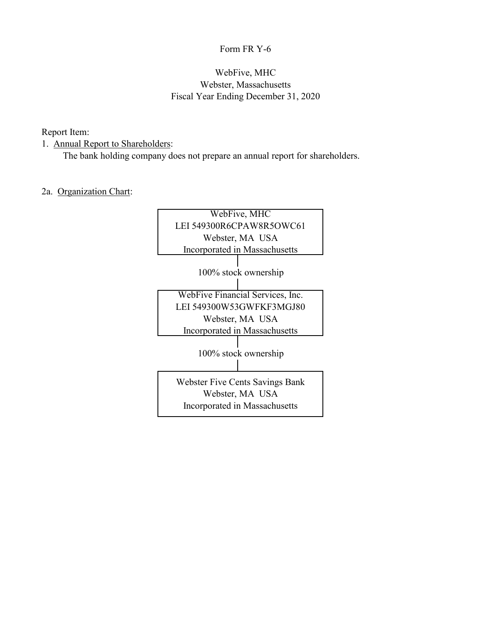## Form FR Y-6

## WebFive, MHC Webster, Massachusetts Fiscal Year Ending December 31, 2020

## Report Item:

## 1. Annual Report to Shareholders:

The bank holding company does not prepare an annual report for shareholders.

## 2a. Organization Chart:

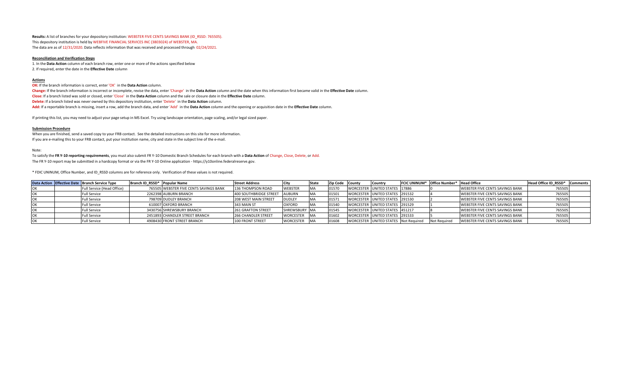**Results:** A list of branches for your depository institution: WEBSTER FIVE CENTS SAVINGS BANK (ID\_RSSD: 765505). This depository institution is held by WEBFIVE FINANCIAL SERVICES INC (3803024) of WEBSTER, MA. The data are as of 12/31/2020. Data reflects information that was received and processed through 02/24/2021.

#### **Reconciliation and Verification Steps**

1. In the **Data Action** column of each branch row, enter one or more of the actions specified below 2. If required, enter the date in the **Effective Date** column

#### **Actions**

**OK:** If the branch information is correct, enter 'OK' in the **Data Action** column. **Change:** If the branch information is incorrect or incomplete, revise the data, enter 'Change' in the **Data Action** column and the date when this information first became valid in the **Effective Date** column. **Close:** If a branch listed was sold or closed, enter 'Close' in the **Data Action** column and the sale or closure date in the **Effective Date** column. **Delete:** If a branch listed was never owned by this depository institution, enter 'Delete' in the **Data Action** column. **Add:** If a reportable branch is missing, insert a row, add the branch data, and enter 'Add' in the **Data Action** column and the opening or acquisition date in the **Effective Date** column.

If printing this list, you may need to adjust your page setup in MS Excel. Try using landscape orientation, page scaling, and/or legal sized paper.

#### **Submission Procedure**

When you are finished, send a saved copy to your FRB contact. See the detailed instructions on this site for more information. If you are e-mailing this to your FRB contact, put your institution name, city and state in the subject line of the e-mail.

Note:

To satisfy the **FR Y-10 reporting requirements**, you must also submit FR Y-10 Domestic Branch Schedules for each branch with a **Data Action** of Change, Close, Delete, or Add. The FR Y-10 report may be submitted in a hardcopy format or via the FR Y-10 Online application - https://y10online.federalreserve.gov.

\* FDIC UNINUM, Office Number, and ID\_RSSD columns are for reference only. Verification of these values is not required.

| Data Action Effective Date Branch Service Type | Branch ID RSSD* Popular Name |                                        | <b>Street Address</b>      | City           |           | Zip Code County | <b>Country</b>                       | FCIC UNINUM* Office Number* Head Office |                                        | Head Office ID RSSD* Comments |  |
|------------------------------------------------|------------------------------|----------------------------------------|----------------------------|----------------|-----------|-----------------|--------------------------------------|-----------------------------------------|----------------------------------------|-------------------------------|--|
| Full Service (Head Office)                     |                              | 765505 WEBSTER FIVE CENTS SAVINGS BANK | 136 THOMPSON ROAD          | <b>WEBSTER</b> | <b>MA</b> | 01570           | WORCESTER UNITED STATES 17886        |                                         | <b>WEBSTER FIVE CENTS SAVINGS BANK</b> | 765505                        |  |
| Full Service                                   |                              | 2262398 AUBURN BRANCH                  | 400 SOUTHBRIDGE STREET     | <b>AUBURN</b>  | <b>MA</b> | 01501           | WORCESTER UNITED STATES 291532       |                                         | <b>WEBSTER FIVE CENTS SAVINGS BANK</b> | 765505                        |  |
| <b>Full Service</b>                            |                              | 798709 DUDLEY BRANCH                   | 208 WEST MAIN STREET       | <b>DUDLEY</b>  | <b>MA</b> | 0157            | WORCESTER UNITED STATES 291530       |                                         | <b>WEBSTER FIVE CENTS SAVINGS BANK</b> | 765505                        |  |
| <b>Full Service</b>                            |                              | 610007 OXFORD BRANCH                   | 343 MAIN ST                | <b>OXFORD</b>  | <b>MA</b> | 01540           | WORCESTER UNITED STATES 291529       |                                         | <b>WEBSTER FIVE CENTS SAVINGS BANK</b> | 765505                        |  |
| <b>Full Service</b>                            |                              | 3430756 SHREWSBURY BRANCH              | <b>261 GRAFTON STREET</b>  | SHREWSBURY MA  |           | 01545           | WORCESTER UNITED STATES 451217       |                                         | <b>WEBSTER FIVE CENTS SAVINGS BANK</b> | 76550!                        |  |
| Full Service                                   |                              | 2451893 CHANDLER STREET BRANCH         | <b>266 CHANDLER STREET</b> | WORCESTER MA   |           | 01602           | WORCESTER UNITED STATES 291533       |                                         | <b>WEBSTER FIVE CENTS SAVINGS BANK</b> | 765505                        |  |
| <b>Full Service</b>                            |                              | 4908430 FRONT STREET BRANCH            | 100 FRONT STREET           | WORCESTER MA   |           | 01608           | WORCESTER UNITED STATES Not Required | Not Requirea                            | WEBSTER FIVE CENTS SAVINGS BANK        | 765505                        |  |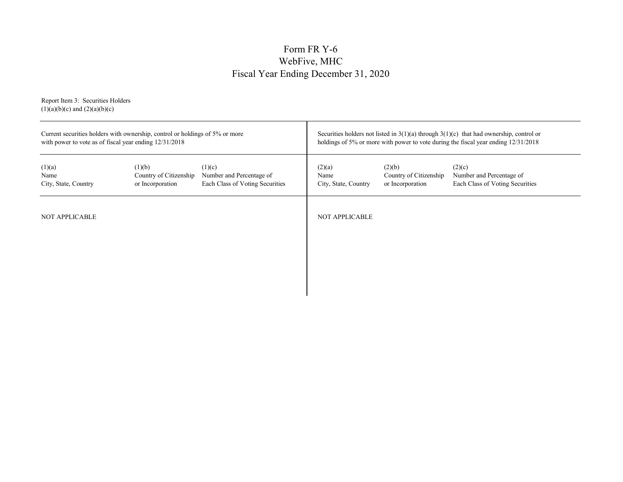# Form FR Y-6 WebFive, MHC Fiscal Year Ending December 31, 2020

Report Item 3: Securities Holders  $(1)(a)(b)(c)$  and  $(2)(a)(b)(c)$ 

| Current securities holders with ownership, control or holdings of 5% or more<br>with power to vote as of fiscal year ending 12/31/2018 |                                                      |                                                                       | Securities holders not listed in $3(1)(a)$ through $3(1)(c)$ that had ownership, control or<br>holdings of 5% or more with power to vote during the fiscal year ending 12/31/2018 |                                                      |                                                                       |  |  |
|----------------------------------------------------------------------------------------------------------------------------------------|------------------------------------------------------|-----------------------------------------------------------------------|-----------------------------------------------------------------------------------------------------------------------------------------------------------------------------------|------------------------------------------------------|-----------------------------------------------------------------------|--|--|
| (1)(a)<br>Name<br>City, State, Country                                                                                                 | (1)(b)<br>Country of Citizenship<br>or Incorporation | (1)(c)<br>Number and Percentage of<br>Each Class of Voting Securities | (2)(a)<br>Name<br>City, State, Country                                                                                                                                            | (2)(b)<br>Country of Citizenship<br>or Incorporation | (2)(c)<br>Number and Percentage of<br>Each Class of Voting Securities |  |  |
| <b>NOT APPLICABLE</b>                                                                                                                  |                                                      |                                                                       | <b>NOT APPLICABLE</b>                                                                                                                                                             |                                                      |                                                                       |  |  |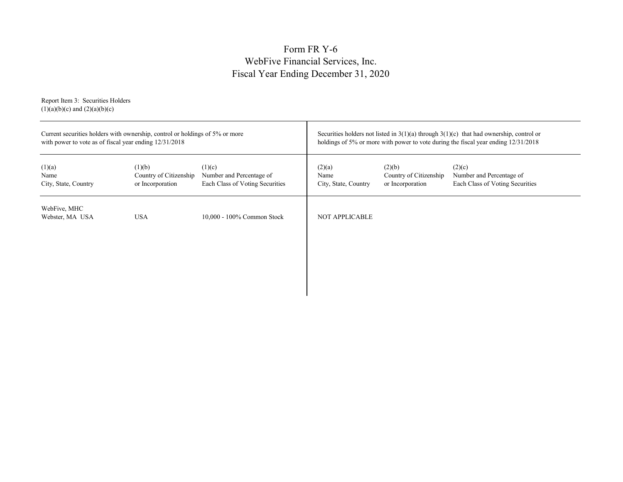# Form FR Y-6 WebFive Financial Services, Inc. Fiscal Year Ending December 31, 2020

Report Item 3: Securities Holders  $(1)(a)(b)(c)$  and  $(2)(a)(b)(c)$ 

| with power to vote as of fiscal year ending $12/31/2018$ | Current securities holders with ownership, control or holdings of 5% or more |                                                                       | Securities holders not listed in $3(1)(a)$ through $3(1)(c)$ that had ownership, control or<br>holdings of 5% or more with power to vote during the fiscal year ending 12/31/2018 |                                                      |                                                                       |  |  |
|----------------------------------------------------------|------------------------------------------------------------------------------|-----------------------------------------------------------------------|-----------------------------------------------------------------------------------------------------------------------------------------------------------------------------------|------------------------------------------------------|-----------------------------------------------------------------------|--|--|
| (1)(a)<br>Name<br>City, State, Country                   | (1)(b)<br>Country of Citizenship<br>or Incorporation                         | (1)(c)<br>Number and Percentage of<br>Each Class of Voting Securities | (2)(a)<br>Name<br>City, State, Country                                                                                                                                            | (2)(b)<br>Country of Citizenship<br>or Incorporation | (2)(c)<br>Number and Percentage of<br>Each Class of Voting Securities |  |  |
| WebFive, MHC<br>Webster, MA USA                          | <b>USA</b>                                                                   | 10,000 - 100% Common Stock                                            | <b>NOT APPLICABLE</b>                                                                                                                                                             |                                                      |                                                                       |  |  |
|                                                          |                                                                              |                                                                       |                                                                                                                                                                                   |                                                      |                                                                       |  |  |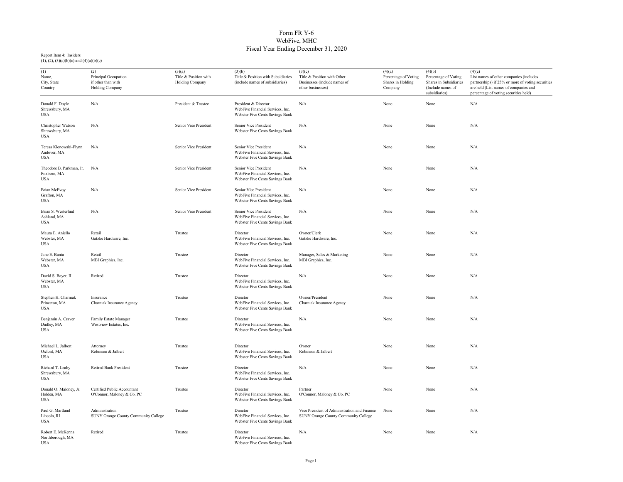### Form FR Y-6 WebFive, MHC Fiscal Year Ending December 31, 2020

| (1)<br>Name,<br>City, State<br>Country                | (2)<br>Principal Occupation<br>if other than with<br>Holding Company | (3)(a)<br>Title & Position with<br><b>Holding Company</b> | (3)(b)<br>Title & Position with Subsidiaries<br>(include names of subsidiaries)              | (3)(c)<br>Title & Position with Other<br>Businesses (include names of<br>other businesses) | (4)(a)<br>Percentage of Voting<br>Shares in Holding<br>Company | (4)(b)<br>Percentage of Voting<br>Shares in Subsidiaries<br>(Include names of<br>subsidiaries) | (4)(c)<br>List names of other companies (includes<br>partnerships) if 25% or more of voting securities<br>are held (List names of companies and<br>percentage of voting securities held) |
|-------------------------------------------------------|----------------------------------------------------------------------|-----------------------------------------------------------|----------------------------------------------------------------------------------------------|--------------------------------------------------------------------------------------------|----------------------------------------------------------------|------------------------------------------------------------------------------------------------|------------------------------------------------------------------------------------------------------------------------------------------------------------------------------------------|
| Donald F. Doyle<br>Shrewsbury, MA<br><b>USA</b>       | N/A                                                                  | President & Trustee                                       | President & Director<br>WebFive Financial Services, Inc.<br>Webster Five Cents Savings Bank  | N/A                                                                                        | None                                                           | None                                                                                           | N/A                                                                                                                                                                                      |
| Christopher Watson<br>Shrewsbury, MA<br><b>USA</b>    | N/A                                                                  | Senior Vice President                                     | Senior Vice President<br>Webster Five Cents Savings Bank                                     | N/A                                                                                        | None                                                           | None                                                                                           | N/A                                                                                                                                                                                      |
| Teresa Klonowski-Flynn<br>Andover, MA<br><b>USA</b>   | N/A                                                                  | Senior Vice President                                     | Senior Vice President<br>WebFive Financial Services, Inc.<br>Webster Five Cents Savings Bank | N/A                                                                                        | None                                                           | None                                                                                           | N/A                                                                                                                                                                                      |
| Theodore B. Parkman, Jr.<br>Foxboro, MA<br><b>USA</b> | N/A                                                                  | Senior Vice President                                     | Senior Vice President<br>WebFive Financial Services, Inc.<br>Webster Five Cents Savings Bank | N/A                                                                                        | None                                                           | None                                                                                           | N/A                                                                                                                                                                                      |
| <b>Brian McEvoy</b><br>Grafton, MA<br><b>USA</b>      | N/A                                                                  | Senior Vice President                                     | Senior Vice President<br>WebFive Financial Services, Inc.<br>Webster Five Cents Savings Bank | N/A                                                                                        | None                                                           | None                                                                                           | N/A                                                                                                                                                                                      |
| Brian S. Westerlind<br>Ashland, MA<br><b>USA</b>      | N/A                                                                  | Senior Vice President                                     | Senior Vice President<br>WebFive Financial Services, Inc.<br>Webster Five Cents Savings Bank | N/A                                                                                        | None                                                           | None                                                                                           | N/A                                                                                                                                                                                      |
| Maura E. Aniello<br>Webster, MA<br><b>USA</b>         | Retail<br>Gatzke Hardware, Inc.                                      | Trustee                                                   | Director<br>WebFive Financial Services, Inc.<br>Webster Five Cents Savings Bank              | Owner/Clerk<br>Gatzke Hardware, Inc.                                                       | None                                                           | None                                                                                           | N/A                                                                                                                                                                                      |
| Jane E. Bania<br>Webster, MA<br><b>USA</b>            | Retail<br>MBI Graphics, Inc.                                         | Trustee                                                   | Director<br>WebFive Financial Services, Inc.<br>Webster Five Cents Savings Bank              | Manager, Sales & Marketing<br>MBI Graphics, Inc.                                           | None                                                           | None                                                                                           | N/A                                                                                                                                                                                      |
| David S. Bayer, II<br>Webster, MA<br><b>USA</b>       | Retired                                                              | Trustee                                                   | Director<br>WebFive Financial Services, Inc.<br>Webster Five Cents Savings Bank              | N/A                                                                                        | None                                                           | None                                                                                           | N/A                                                                                                                                                                                      |
| Stephen H. Charniak<br>Princeton, MA<br><b>USA</b>    | Insurance<br>Charniak Insurance Agency                               | Trustee                                                   | Director<br>WebFive Financial Services, Inc.<br>Webster Five Cents Savings Bank              | Owner/President<br>Charniak Insurance Agency                                               | None                                                           | None                                                                                           | N/A                                                                                                                                                                                      |
| Benjamin A. Craver<br>Dudley, MA<br><b>USA</b>        | Family Estate Manager<br>Westview Estates, Inc.                      | Trustee                                                   | Director<br>WebFive Financial Services, Inc.<br>Webster Five Cents Savings Bank              | N/A                                                                                        | None                                                           | None                                                                                           | N/A                                                                                                                                                                                      |
| Michael L. Jalbert<br>Oxford, MA<br><b>USA</b>        | Attorney<br>Robinson & Jalbert                                       | Trustee                                                   | Director<br>WebFive Financial Services, Inc.<br>Webster Five Cents Savings Bank              | Owner<br>Robinson & Jalbert                                                                | None                                                           | None                                                                                           | N/A                                                                                                                                                                                      |
| Richard T. Leahy<br>Shrewsbury, MA<br><b>USA</b>      | <b>Retired Bank President</b>                                        | Trustee                                                   | Director<br>WebFive Financial Services, Inc.<br>Webster Five Cents Savings Bank              | N/A                                                                                        | None                                                           | None                                                                                           | N/A                                                                                                                                                                                      |
| Donald O. Maloney, Jr.<br>Holden, MA<br><b>USA</b>    | Certified Public Accountant<br>O'Connor, Maloney & Co. PC            | Trustee                                                   | Director<br>WebFive Financial Services, Inc.<br>Webster Five Cents Savings Bank              | Partner<br>O'Connor, Maloney & Co. PC                                                      | None                                                           | None                                                                                           | N/A                                                                                                                                                                                      |
| Paul G. Martland<br>Lincoln, RI<br><b>USA</b>         | Administration<br>SUNY Orange County Community College               | Trustee                                                   | Director<br>WebFive Financial Services, Inc.<br>Webster Five Cents Savings Bank              | Vice President of Administration and Finance<br>SUNY Orange County Community College       | None                                                           | None                                                                                           | N/A                                                                                                                                                                                      |
| Robert E. McKenna<br>Northborough, MA<br><b>USA</b>   | Retired                                                              | Trustee                                                   | Director<br>WebFive Financial Services, Inc.<br><b>Webster Five Cents Savings Bank</b>       | N/A                                                                                        | None                                                           | None                                                                                           | N/A                                                                                                                                                                                      |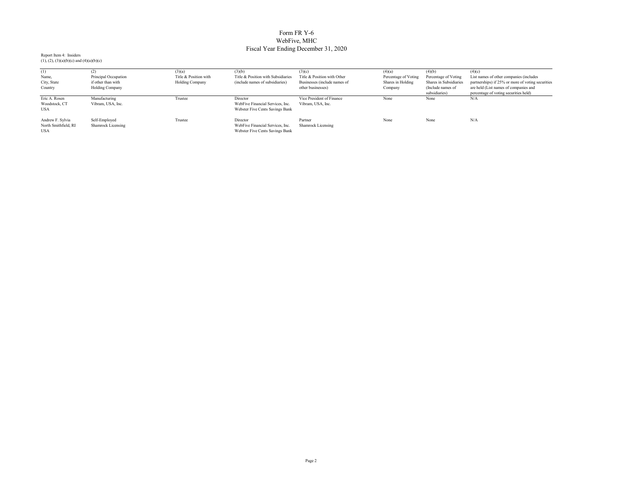### Form FR Y-6 WebFive, MHC Fiscal Year Ending December 31, 2020

| (1)                  |                           | (3)(a)                | (3)(b)                             | (3)(c)                       | (4)(a)               | (4)(b)                 | (4)(c)                                            |
|----------------------|---------------------------|-----------------------|------------------------------------|------------------------------|----------------------|------------------------|---------------------------------------------------|
| Name,                | Principal Occupation      | Title & Position with | Title & Position with Subsidiaries | Title & Position with Other  | Percentage of Voting | Percentage of Voting   | List names of other companies (includes           |
| City, State          | if other than with        | Holding Company       | (include names of subsidiaries)    | Businesses (include names of | Shares in Holding    | Shares in Subsidiaries | partnerships) if 25% or more of voting securities |
| Country              | <b>Holding Company</b>    |                       |                                    | other businesses)            | Company              | (Include names of      | are held (List names of companies and             |
|                      |                           |                       |                                    |                              |                      | subsidiaries)          | percentage of voting securities held)             |
| Eric A. Rosen        | Manufacturing             | Trustee               | Director                           | Vice President of Finance    | None                 | None                   | N/A                                               |
| Woodstock, CT        | Vibram, USA, Inc.         |                       | WebFive Financial Services, Inc.   | Vibram, USA, Inc.            |                      |                        |                                                   |
| <b>USA</b>           |                           |                       | Webster Five Cents Savings Bank    |                              |                      |                        |                                                   |
|                      |                           |                       |                                    |                              |                      |                        |                                                   |
| Andrew F. Sylvia     | Self-Employed             | Trustee               | Director                           | Partner                      | None                 | None                   | N/A                                               |
| North Smithfield, RI | <b>Shamrock Licensing</b> |                       | WebFive Financial Services, Inc.   | <b>Shamrock Licensing</b>    |                      |                        |                                                   |
| <b>USA</b>           |                           |                       | Webster Five Cents Savings Bank    |                              |                      |                        |                                                   |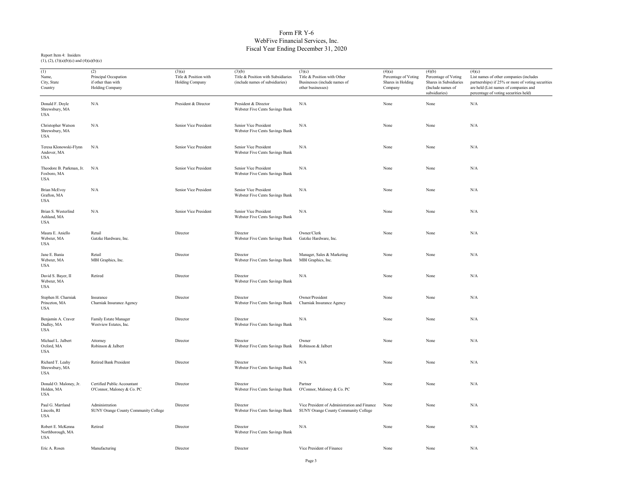### Form FR Y-6 WebFive Financial Services, Inc. Fiscal Year Ending December 31, 2020

| (1)<br>Name,<br>City, State<br>Country              | (2)<br>Principal Occupation<br>if other than with<br>Holding Company | (3)(a)<br>Title & Position with<br>Holding Company | (3)(b)<br>Title & Position with Subsidiaries<br>(include names of subsidiaries) | (3)(c)<br>Title & Position with Other<br>Businesses (include names of<br>other businesses) | (4)(a)<br>Percentage of Voting<br>Shares in Holding<br>Company | (4)(b)<br>Percentage of Voting<br>Shares in Subsidiaries<br>(Include names of<br>subsidiaries) | (4)(c)<br>List names of other companies (includes<br>partnerships) if 25% or more of voting securities<br>are held (List names of companies and<br>percentage of voting securities held) |
|-----------------------------------------------------|----------------------------------------------------------------------|----------------------------------------------------|---------------------------------------------------------------------------------|--------------------------------------------------------------------------------------------|----------------------------------------------------------------|------------------------------------------------------------------------------------------------|------------------------------------------------------------------------------------------------------------------------------------------------------------------------------------------|
| Donald F. Doyle<br>Shrewsbury, MA<br>USA            | N/A                                                                  | President & Director                               | President & Director<br>Webster Five Cents Savings Bank                         | N/A                                                                                        | None                                                           | None                                                                                           | N/A                                                                                                                                                                                      |
| Christopher Watson<br>Shrewsbury, MA<br><b>USA</b>  | N/A                                                                  | Senior Vice President                              | Senior Vice President<br>Webster Five Cents Savings Bank                        | N/A                                                                                        | None                                                           | None                                                                                           | $\rm N/A$                                                                                                                                                                                |
| Teresa Klonowski-Flynn<br>Andover, MA<br><b>USA</b> | N/A                                                                  | Senior Vice President                              | Senior Vice President<br>Webster Five Cents Savings Bank                        | N/A                                                                                        | None                                                           | None                                                                                           | $\rm N/A$                                                                                                                                                                                |
| Theodore B. Parkman, Jr.<br>Foxboro, MA<br>USA      | N/A                                                                  | Senior Vice President                              | Senior Vice President<br>Webster Five Cents Savings Bank                        | N/A                                                                                        | None                                                           | None                                                                                           | $\rm N/A$                                                                                                                                                                                |
| <b>Brian McEvoy</b><br>Grafton, MA<br><b>USA</b>    | N/A                                                                  | Senior Vice President                              | Senior Vice President<br>Webster Five Cents Savings Bank                        | N/A                                                                                        | None                                                           | None                                                                                           | N/A                                                                                                                                                                                      |
| Brian S. Westerlind<br>Ashland, MA<br><b>USA</b>    | N/A                                                                  | Senior Vice President                              | Senior Vice President<br>Webster Five Cents Savings Bank                        | N/A                                                                                        | None                                                           | None                                                                                           | $\rm N/A$                                                                                                                                                                                |
| Maura E. Aniello<br>Webster, MA<br><b>USA</b>       | Retail<br>Gatzke Hardware, Inc.                                      | Director                                           | Director<br>Webster Five Cents Savings Bank                                     | Owner/Clerk<br>Gatzke Hardware, Inc.                                                       | None                                                           | None                                                                                           | N/A                                                                                                                                                                                      |
| Jane E. Bania<br>Webster, MA<br><b>USA</b>          | Retail<br>MBI Graphics, Inc.                                         | Director                                           | Director<br>Webster Five Cents Savings Bank                                     | Manager, Sales & Marketing<br>MBI Graphics, Inc.                                           | None                                                           | None                                                                                           | N/A                                                                                                                                                                                      |
| David S. Bayer, II<br>Webster, MA<br><b>USA</b>     | Retired                                                              | Director                                           | Director<br>Webster Five Cents Savings Bank                                     | N/A                                                                                        | None                                                           | None                                                                                           | N/A                                                                                                                                                                                      |
| Stephen H. Charniak<br>Princeton, MA<br>USA         | Insurance<br>Charniak Insurance Agency                               | Director                                           | Director<br>Webster Five Cents Savings Bank                                     | Owner/President<br>Charniak Insurance Agency                                               | None                                                           | None                                                                                           | N/A                                                                                                                                                                                      |
| Benjamin A. Craver<br>Dudley, MA<br><b>USA</b>      | Family Estate Manager<br>Westview Estates, Inc.                      | Director                                           | Director<br>Webster Five Cents Savings Bank                                     | N/A                                                                                        | None                                                           | None                                                                                           | N/A                                                                                                                                                                                      |
| Michael L. Jalbert<br>Oxford, MA<br>USA             | Attorney<br>Robinson & Jalbert                                       | Director                                           | Director<br>Webster Five Cents Savings Bank                                     | Owner<br>Robinson & Jalbert                                                                | None                                                           | None                                                                                           | N/A                                                                                                                                                                                      |
| Richard T. Leahy<br>Shrewsbury, MA<br>USA           | <b>Retired Bank President</b>                                        | Director                                           | Director<br>Webster Five Cents Savings Bank                                     | N/A                                                                                        | None                                                           | None                                                                                           | N/A                                                                                                                                                                                      |
| Donald O. Maloney, Jr.<br>Holden, MA<br><b>USA</b>  | Certified Public Accountant<br>O'Connor, Maloney & Co. PC            | Director                                           | Director<br>Webster Five Cents Savings Bank                                     | Partner<br>O'Connor, Maloney & Co. PC                                                      | None                                                           | None                                                                                           | $\rm N/A$                                                                                                                                                                                |
| Paul G. Martland<br>Lincoln, RI<br><b>USA</b>       | Administration<br>SUNY Orange County Community College               | Director                                           | Director<br>Webster Five Cents Savings Bank                                     | Vice President of Administration and Finance<br>SUNY Orange County Community College       | None                                                           | None                                                                                           | N/A                                                                                                                                                                                      |
| Robert E. McKenna<br>Northborough, MA<br><b>USA</b> | Retired                                                              | Director                                           | Director<br>Webster Five Cents Savings Bank                                     | N/A                                                                                        | None                                                           | None                                                                                           | $\rm N/A$                                                                                                                                                                                |
| Eric A. Rosen                                       | Manufacturing                                                        | Director                                           | Director                                                                        | Vice President of Finance                                                                  | None                                                           | None                                                                                           | N/A                                                                                                                                                                                      |